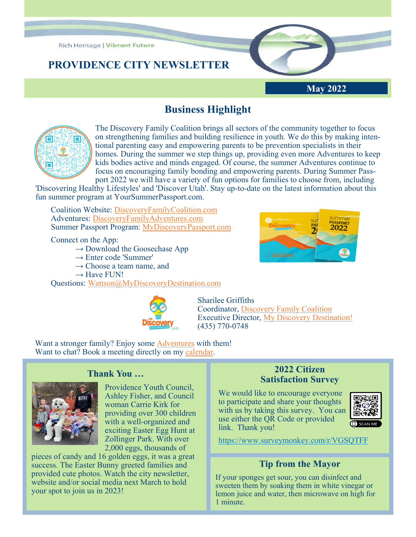

# **Business Highlight**



The Discovery Family Coalition brings all sectors of the community together to focus on strengthening families and building resilience in youth. We do this by making intentional parenting easy and empowering parents to be prevention specialists in their homes. During the summer we step things up, providing even more Adventures to keep kids bodies active and minds engaged. Of course, the summer Adventures continue to focus on encouraging family bonding and empowering parents. During Summer Passport 2022 we will have a variety of fun options for families to choose from, including

'Discovering Healthy Lifestyles' and 'Discover Utah'. Stay up-to-date on the latest information about this fun summer program at YourSummerPassport.com.

 Coalition Website: DiscoveryFamilyCoalition.com Adventures: DiscoveryFamilyAdventures.com Summer Passport Program: MyDiscoveryPassport.com

Connect on the App:

- $\rightarrow$  Download the Goosechase App
- → Enter code 'Summer'
- $\rightarrow$  Choose a team name, and
- $\rightarrow$  Have FUN!

Questions: Wattson@MyDiscoveryDestination.com





Sharilee Griffiths Coordinator, Discovery Family Coalition Executive Director, My Discovery Destination! (435) 770-0748

Want a stronger family? Enjoy some Adventures with them! Want to chat? Book a meeting directly on my calendar.



### **Thank You …**

Providence Youth Council, Ashley Fisher, and Council woman Carrie Kirk for providing over 300 children with a well-organized and exciting Easter Egg Hunt at Zollinger Park. With over 2,000 eggs, thousands of

pieces of candy and 16 golden eggs, it was a great success. The Easter Bunny greeted families and provided cute photos. Watch the city newsletter, website and/or social media next March to hold your spot to join us in 2023!

### **2022 Citizen Satisfaction Survey**

We would like to encourage everyone to participate and share your thoughts with us by taking this survey. You can use either the QR Code or provided link. Thank you!



https://www.surveymonkey.com/r/VGSQTFF

### **Tip from the Mayor**

If your sponges get sour, you can disinfect and sweeten them by soaking them in white vinegar or lemon juice and water, then microwave on high for 1 minute.